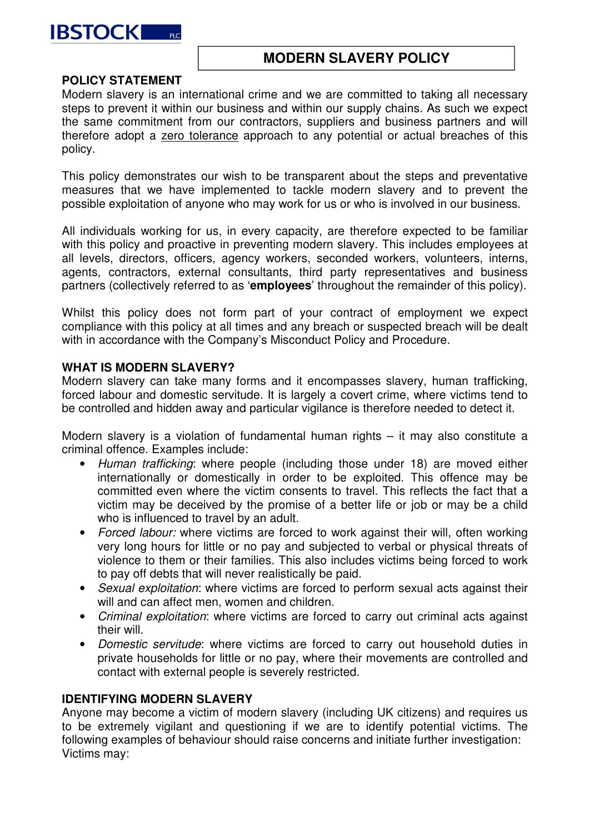

# **MODERN SLAVERY POLICY**

### **POLICY STATEMENT**

Modern slavery is an international crime and we are committed to taking all necessary steps to prevent it within our business and within our supply chains. As such we expect the same commitment from our contractors, suppliers and business partners and will therefore adopt a zero tolerance approach to any potential or actual breaches of this policy.

This policy demonstrates our wish to be transparent about the steps and preventative measures that we have implemented to tackle modern slavery and to prevent the possible exploitation of anyone who may work for us or who is involved in our business.

All individuals working for us, in every capacity, are therefore expected to be familiar with this policy and proactive in preventing modern slavery. This includes employees at all levels, directors, officers, agency workers, seconded workers, volunteers, interns, agents, contractors, external consultants, third party representatives and business partners (collectively referred to as '**employees**' throughout the remainder of this policy).

Whilst this policy does not form part of your contract of employment we expect compliance with this policy at all times and any breach or suspected breach will be dealt with in accordance with the Company's Misconduct Policy and Procedure.

### **WHAT IS MODERN SLAVERY?**

Modern slavery can take many forms and it encompasses slavery, human trafficking, forced labour and domestic servitude. It is largely a covert crime, where victims tend to be controlled and hidden away and particular vigilance is therefore needed to detect it.

Modern slavery is a violation of fundamental human rights – it may also constitute a criminal offence. Examples include:

- Human trafficking: where people (including those under 18) are moved either internationally or domestically in order to be exploited. This offence may be committed even where the victim consents to travel. This reflects the fact that a victim may be deceived by the promise of a better life or job or may be a child who is influenced to travel by an adult.
- Forced labour: where victims are forced to work against their will, often working very long hours for little or no pay and subjected to verbal or physical threats of violence to them or their families. This also includes victims being forced to work to pay off debts that will never realistically be paid.
- Sexual exploitation: where victims are forced to perform sexual acts against their will and can affect men, women and children.
- Criminal exploitation: where victims are forced to carry out criminal acts against their will.
- Domestic servitude: where victims are forced to carry out household duties in private households for little or no pay, where their movements are controlled and contact with external people is severely restricted.

### **IDENTIFYING MODERN SLAVERY**

Anyone may become a victim of modern slavery (including UK citizens) and requires us to be extremely vigilant and questioning if we are to identify potential victims. The following examples of behaviour should raise concerns and initiate further investigation: Victims may: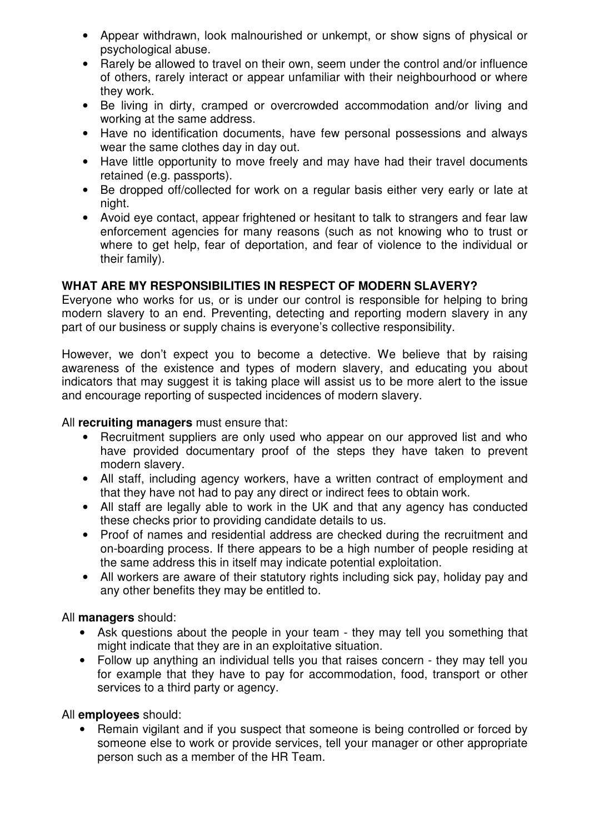- Appear withdrawn, look malnourished or unkempt, or show signs of physical or psychological abuse.
- Rarely be allowed to travel on their own, seem under the control and/or influence of others, rarely interact or appear unfamiliar with their neighbourhood or where they work.
- Be living in dirty, cramped or overcrowded accommodation and/or living and working at the same address.
- Have no identification documents, have few personal possessions and always wear the same clothes day in day out.
- Have little opportunity to move freely and may have had their travel documents retained (e.g. passports).
- Be dropped off/collected for work on a regular basis either very early or late at night.
- Avoid eve contact, appear frightened or hesitant to talk to strangers and fear law enforcement agencies for many reasons (such as not knowing who to trust or where to get help, fear of deportation, and fear of violence to the individual or their family).

# **WHAT ARE MY RESPONSIBILITIES IN RESPECT OF MODERN SLAVERY?**

Everyone who works for us, or is under our control is responsible for helping to bring modern slavery to an end. Preventing, detecting and reporting modern slavery in any part of our business or supply chains is everyone's collective responsibility.

However, we don't expect you to become a detective. We believe that by raising awareness of the existence and types of modern slavery, and educating you about indicators that may suggest it is taking place will assist us to be more alert to the issue and encourage reporting of suspected incidences of modern slavery.

All **recruiting managers** must ensure that:

- Recruitment suppliers are only used who appear on our approved list and who have provided documentary proof of the steps they have taken to prevent modern slavery.
- All staff, including agency workers, have a written contract of employment and that they have not had to pay any direct or indirect fees to obtain work.
- All staff are legally able to work in the UK and that any agency has conducted these checks prior to providing candidate details to us.
- Proof of names and residential address are checked during the recruitment and on-boarding process. If there appears to be a high number of people residing at the same address this in itself may indicate potential exploitation.
- All workers are aware of their statutory rights including sick pay, holiday pay and any other benefits they may be entitled to.

All **managers** should:

- Ask questions about the people in your team they may tell you something that might indicate that they are in an exploitative situation.
- Follow up anything an individual tells you that raises concern they may tell you for example that they have to pay for accommodation, food, transport or other services to a third party or agency.

All **employees** should:

• Remain vigilant and if you suspect that someone is being controlled or forced by someone else to work or provide services, tell your manager or other appropriate person such as a member of the HR Team.